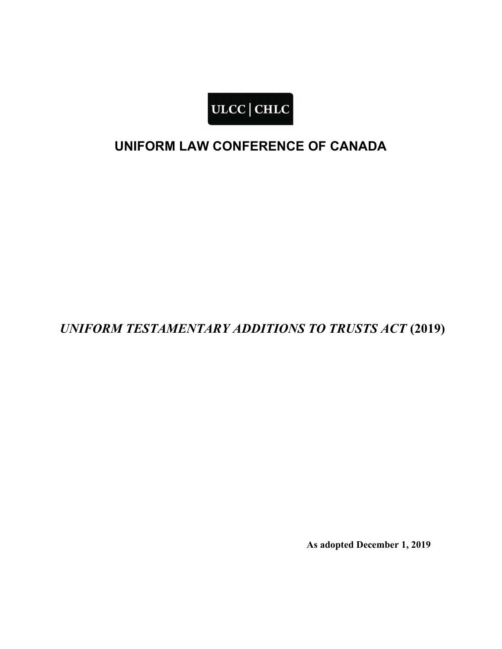

# UNIFORM LAW CONFERENCE OF CANADA

UNIFORM TESTAMENTARY ADDITIONS TO TRUSTS ACT (2019)

As adopted December 1, 2019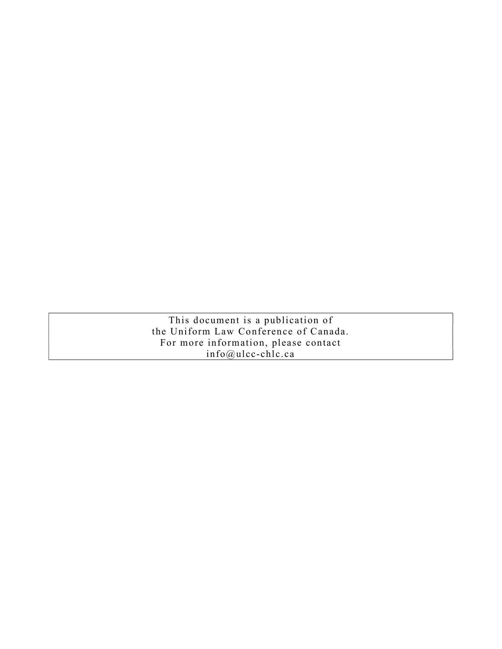This document is a publication of the Uniform Law Conference of Canada. For more information, please contact info@ulcc-chlc.ca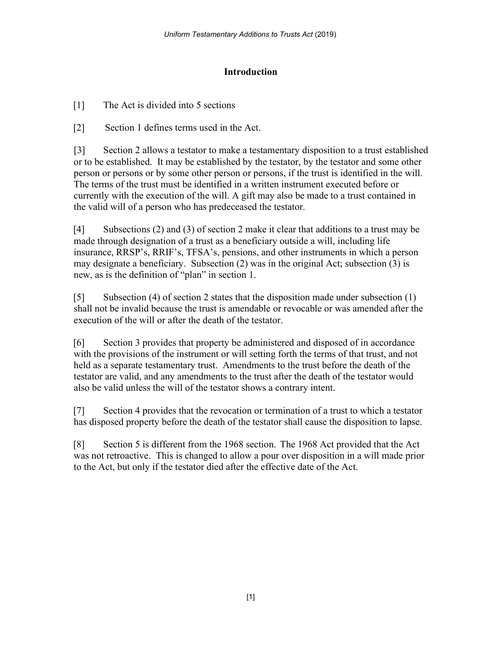# Introduction

[1] The Act is divided into 5 sections

[2] Section 1 defines terms used in the Act.

[3] Section 2 allows a testator to make a testamentary disposition to a trust established or to be established. It may be established by the testator, by the testator and some other person or persons or by some other person or persons, if the trust is identified in the will. The terms of the trust must be identified in a written instrument executed before or currently with the execution of the will. A gift may also be made to a trust contained in the valid will of a person who has predeceased the testator.

[4] Subsections (2) and (3) of section 2 make it clear that additions to a trust may be made through designation of a trust as a beneficiary outside a will, including life insurance, RRSP's, RRIF's, TFSA's, pensions, and other instruments in which a person may designate a beneficiary. Subsection (2) was in the original Act; subsection (3) is new, as is the definition of "plan" in section 1.

[5] Subsection (4) of section 2 states that the disposition made under subsection (1) shall not be invalid because the trust is amendable or revocable or was amended after the execution of the will or after the death of the testator.

[6] Section 3 provides that property be administered and disposed of in accordance with the provisions of the instrument or will setting forth the terms of that trust, and not held as a separate testamentary trust. Amendments to the trust before the death of the testator are valid, and any amendments to the trust after the death of the testator would also be valid unless the will of the testator shows a contrary intent.

[7] Section 4 provides that the revocation or termination of a trust to which a testator has disposed property before the death of the testator shall cause the disposition to lapse.

[8] Section 5 is different from the 1968 section. The 1968 Act provided that the Act was not retroactive. This is changed to allow a pour over disposition in a will made prior to the Act, but only if the testator died after the effective date of the Act.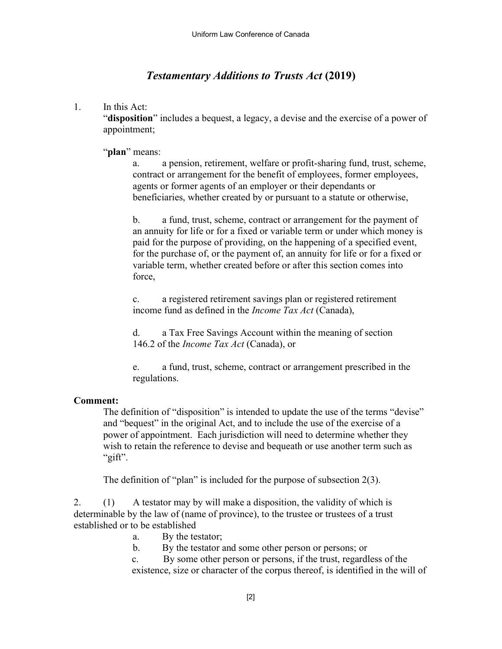# Testamentary Additions to Trusts Act (2019)

## 1. In this Act:

"disposition" includes a bequest, a legacy, a devise and the exercise of a power of appointment;

"plan" means:

a. a pension, retirement, welfare or profit-sharing fund, trust, scheme, contract or arrangement for the benefit of employees, former employees, agents or former agents of an employer or their dependants or beneficiaries, whether created by or pursuant to a statute or otherwise,

b. a fund, trust, scheme, contract or arrangement for the payment of an annuity for life or for a fixed or variable term or under which money is paid for the purpose of providing, on the happening of a specified event, for the purchase of, or the payment of, an annuity for life or for a fixed or variable term, whether created before or after this section comes into force,

c. a registered retirement savings plan or registered retirement income fund as defined in the Income Tax Act (Canada),

d. a Tax Free Savings Account within the meaning of section 146.2 of the Income Tax Act (Canada), or

e. a fund, trust, scheme, contract or arrangement prescribed in the regulations.

# Comment:

The definition of "disposition" is intended to update the use of the terms "devise" and "bequest" in the original Act, and to include the use of the exercise of a power of appointment. Each jurisdiction will need to determine whether they wish to retain the reference to devise and bequeath or use another term such as "gift".

The definition of "plan" is included for the purpose of subsection 2(3).

2. (1) A testator may by will make a disposition, the validity of which is determinable by the law of (name of province), to the trustee or trustees of a trust established or to be established

a. By the testator;

b. By the testator and some other person or persons; or

c. By some other person or persons, if the trust, regardless of the existence, size or character of the corpus thereof, is identified in the will of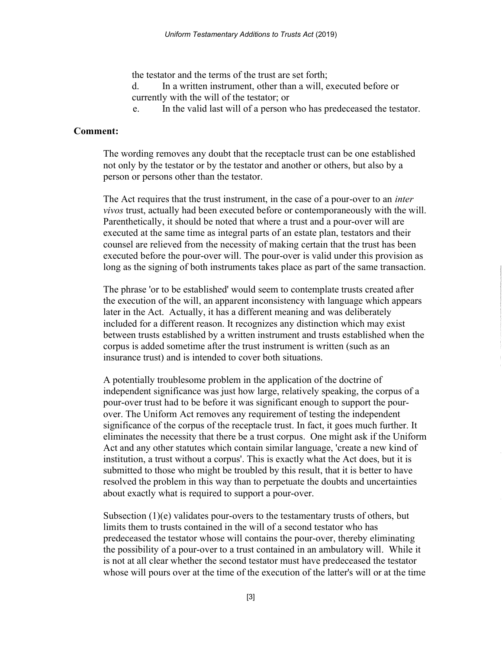the testator and the terms of the trust are set forth;

d. In a written instrument, other than a will, executed before or currently with the will of the testator; or

e. In the valid last will of a person who has predeceased the testator.

#### Comment:

The wording removes any doubt that the receptacle trust can be one established not only by the testator or by the testator and another or others, but also by a person or persons other than the testator.

The Act requires that the trust instrument, in the case of a pour-over to an *inter* vivos trust, actually had been executed before or contemporaneously with the will. Parenthetically, it should be noted that where a trust and a pour-over will are executed at the same time as integral parts of an estate plan, testators and their counsel are relieved from the necessity of making certain that the trust has been executed before the pour-over will. The pour-over is valid under this provision as long as the signing of both instruments takes place as part of the same transaction.

The phrase 'or to be established' would seem to contemplate trusts created after the execution of the will, an apparent inconsistency with language which appears later in the Act. Actually, it has a different meaning and was deliberately included for a different reason. It recognizes any distinction which may exist between trusts established by a written instrument and trusts established when the corpus is added sometime after the trust instrument is written (such as an insurance trust) and is intended to cover both situations.

A potentially troublesome problem in the application of the doctrine of independent significance was just how large, relatively speaking, the corpus of a pour-over trust had to be before it was significant enough to support the pourover. The Uniform Act removes any requirement of testing the independent significance of the corpus of the receptacle trust. In fact, it goes much further. It eliminates the necessity that there be a trust corpus. One might ask if the Uniform Act and any other statutes which contain similar language, 'create a new kind of institution, a trust without a corpus'. This is exactly what the Act does, but it is submitted to those who might be troubled by this result, that it is better to have resolved the problem in this way than to perpetuate the doubts and uncertainties about exactly what is required to support a pour-over.

Subsection (1)(e) validates pour-overs to the testamentary trusts of others, but limits them to trusts contained in the will of a second testator who has predeceased the testator whose will contains the pour-over, thereby eliminating the possibility of a pour-over to a trust contained in an ambulatory will. While it is not at all clear whether the second testator must have predeceased the testator whose will pours over at the time of the execution of the latter's will or at the time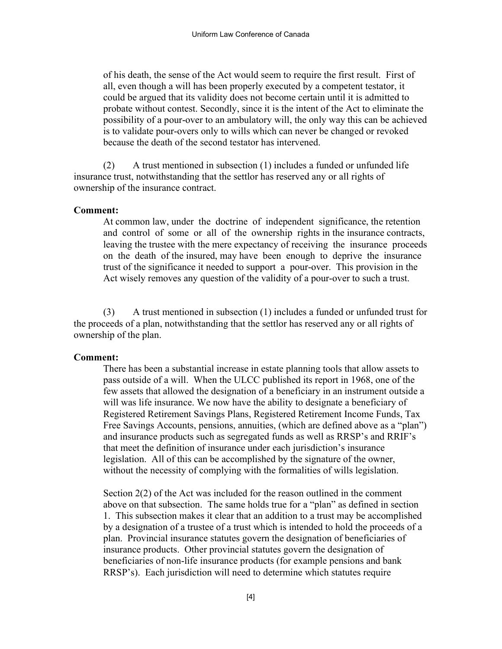of his death, the sense of the Act would seem to require the first result. First of all, even though a will has been properly executed by a competent testator, it could be argued that its validity does not become certain until it is admitted to probate without contest. Secondly, since it is the intent of the Act to eliminate the possibility of a pour-over to an ambulatory will, the only way this can be achieved is to validate pour-overs only to wills which can never be changed or revoked because the death of the second testator has intervened.

(2) A trust mentioned in subsection (1) includes a funded or unfunded life insurance trust, notwithstanding that the settlor has reserved any or all rights of ownership of the insurance contract.

#### Comment:

At common law, under the doctrine of independent significance, the retention and control of some or all of the ownership rights in the insurance contracts, leaving the trustee with the mere expectancy of receiving the insurance proceeds on the death of the insured, may have been enough to deprive the insurance trust of the significance it needed to support a pour-over. This provision in the Act wisely removes any question of the validity of a pour-over to such a trust.

(3) A trust mentioned in subsection (1) includes a funded or unfunded trust for the proceeds of a plan, notwithstanding that the settlor has reserved any or all rights of ownership of the plan.

#### Comment:

There has been a substantial increase in estate planning tools that allow assets to pass outside of a will. When the ULCC published its report in 1968, one of the few assets that allowed the designation of a beneficiary in an instrument outside a will was life insurance. We now have the ability to designate a beneficiary of Registered Retirement Savings Plans, Registered Retirement Income Funds, Tax Free Savings Accounts, pensions, annuities, (which are defined above as a "plan") and insurance products such as segregated funds as well as RRSP's and RRIF's that meet the definition of insurance under each jurisdiction's insurance legislation. All of this can be accomplished by the signature of the owner, without the necessity of complying with the formalities of wills legislation.

Section 2(2) of the Act was included for the reason outlined in the comment above on that subsection. The same holds true for a "plan" as defined in section 1. This subsection makes it clear that an addition to a trust may be accomplished by a designation of a trustee of a trust which is intended to hold the proceeds of a plan. Provincial insurance statutes govern the designation of beneficiaries of insurance products. Other provincial statutes govern the designation of beneficiaries of non-life insurance products (for example pensions and bank RRSP's). Each jurisdiction will need to determine which statutes require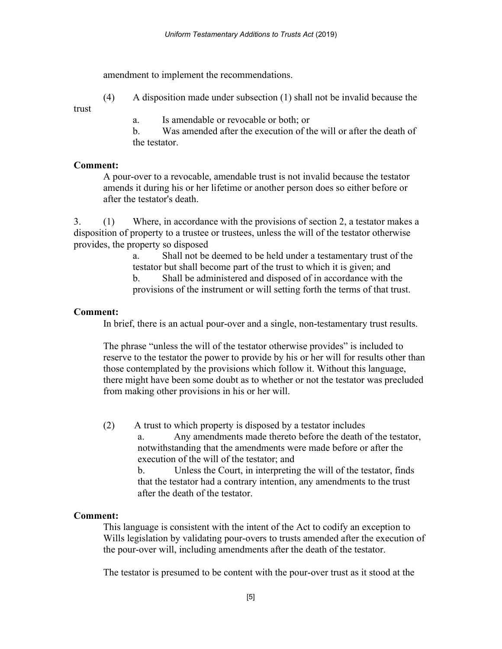amendment to implement the recommendations.

(4) A disposition made under subsection (1) shall not be invalid because the

trust

a. Is amendable or revocable or both; or

b. Was amended after the execution of the will or after the death of the testator.

### Comment:

A pour-over to a revocable, amendable trust is not invalid because the testator amends it during his or her lifetime or another person does so either before or after the testator's death.

3. (1) Where, in accordance with the provisions of section 2, a testator makes a disposition of property to a trustee or trustees, unless the will of the testator otherwise provides, the property so disposed

a. Shall not be deemed to be held under a testamentary trust of the testator but shall become part of the trust to which it is given; and

b. Shall be administered and disposed of in accordance with the provisions of the instrument or will setting forth the terms of that trust.

# Comment:

In brief, there is an actual pour-over and a single, non-testamentary trust results.

The phrase "unless the will of the testator otherwise provides" is included to reserve to the testator the power to provide by his or her will for results other than those contemplated by the provisions which follow it. Without this language, there might have been some doubt as to whether or not the testator was precluded from making other provisions in his or her will.

(2) A trust to which property is disposed by a testator includes a. Any amendments made thereto before the death of the testator, notwithstanding that the amendments were made before or after the execution of the will of the testator; and b. Unless the Court, in interpreting the will of the testator, finds that the testator had a contrary intention, any amendments to the trust after the death of the testator.

# Comment:

This language is consistent with the intent of the Act to codify an exception to Wills legislation by validating pour-overs to trusts amended after the execution of the pour-over will, including amendments after the death of the testator.

The testator is presumed to be content with the pour-over trust as it stood at the